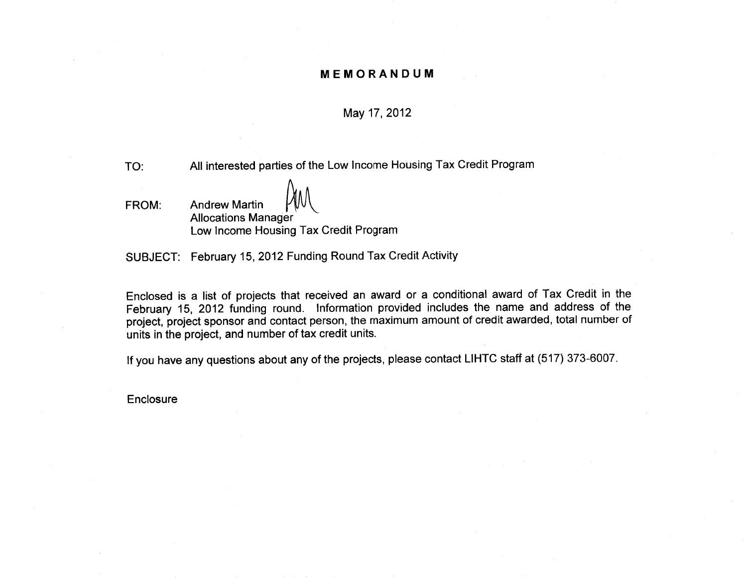#### **MEMORANDUM**

#### May 17, 2012

All interested parties of the Low Income Housing Tax Credit Program TO:

**Andrew Martin** FROM: **Allocations Manager** Low Income Housing Tax Credit Program

SUBJECT: February 15, 2012 Funding Round Tax Credit Activity

Enclosed is a list of projects that received an award or a conditional award of Tax Credit in the February 15, 2012 funding round. Information provided includes the name and address of the project, project sponsor and contact person, the maximum amount of credit awarded, total number of units in the project, and number of tax credit units.

If you have any questions about any of the projects, please contact LIHTC staff at (517) 373-6007.

Enclosure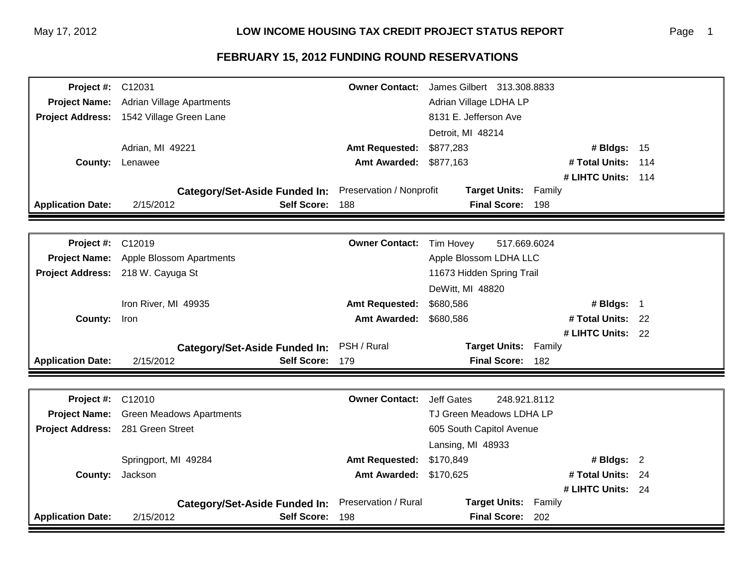| <b>Project #: C12031</b> | <b>Owner Contact:</b><br>James Gilbert 313.308.8833               |                          |                                    |  |  |
|--------------------------|-------------------------------------------------------------------|--------------------------|------------------------------------|--|--|
|                          | Project Name: Adrian Village Apartments<br>Adrian Village LDHA LP |                          |                                    |  |  |
|                          | Project Address: 1542 Village Green Lane                          | 8131 E. Jefferson Ave    |                                    |  |  |
|                          |                                                                   |                          | Detroit, MI 48214                  |  |  |
|                          | Adrian, MI 49221                                                  | <b>Amt Requested:</b>    | \$877,283<br># Bldgs: 15           |  |  |
|                          | <b>County: Lenawee</b>                                            | <b>Amt Awarded:</b>      | \$877,163<br># Total Units:<br>114 |  |  |
|                          |                                                                   |                          | # LIHTC Units: 114                 |  |  |
|                          | <b>Category/Set-Aside Funded In:</b>                              | Preservation / Nonprofit | <b>Target Units:</b><br>Family     |  |  |
| <b>Application Date:</b> | 2/15/2012<br>Self Score: 188                                      |                          | Final Score: 198                   |  |  |
|                          |                                                                   |                          |                                    |  |  |
| <b>Project #: C12019</b> |                                                                   | <b>Owner Contact:</b>    | Tim Hovey<br>517.669.6024          |  |  |
|                          | Project Name: Apple Blossom Apartments                            |                          | Apple Blossom LDHA LLC             |  |  |
|                          | Project Address: 218 W. Cayuga St                                 |                          | 11673 Hidden Spring Trail          |  |  |
|                          |                                                                   |                          | DeWitt, MI 48820                   |  |  |
|                          | Iron River, MI 49935                                              | <b>Amt Requested:</b>    | \$680,586<br># Bldgs: 1            |  |  |
| County: Iron             |                                                                   | <b>Amt Awarded:</b>      | \$680,586<br># Total Units: 22     |  |  |
|                          |                                                                   |                          | # LIHTC Units: 22                  |  |  |
|                          | <b>Category/Set-Aside Funded In:</b>                              | PSH / Rural              | <b>Target Units:</b><br>Family     |  |  |
| <b>Application Date:</b> | 2/15/2012<br>Self Score: 179                                      |                          | <b>Final Score:</b><br>182         |  |  |
|                          |                                                                   |                          |                                    |  |  |
| <b>Project #: C12010</b> |                                                                   | <b>Owner Contact:</b>    | <b>Jeff Gates</b><br>248.921.8112  |  |  |
|                          | <b>Project Name:</b> Green Meadows Apartments                     |                          | TJ Green Meadows LDHA LP           |  |  |
|                          | Project Address: 281 Green Street                                 |                          | 605 South Capitol Avenue           |  |  |
|                          |                                                                   |                          | Lansing, MI 48933                  |  |  |
|                          | Springport, MI 49284                                              | <b>Amt Requested:</b>    | \$170,849<br># Bldgs: 2            |  |  |
| <b>County:</b>           | Jackson                                                           | <b>Amt Awarded:</b>      | # Total Units: 24<br>\$170,625     |  |  |
|                          |                                                                   |                          | # LIHTC Units: 24                  |  |  |
|                          | <b>Category/Set-Aside Funded In:</b>                              | Preservation / Rural     | <b>Target Units:</b><br>Family     |  |  |
| <b>Application Date:</b> | 2/15/2012<br>Self Score: 198                                      |                          | Final Score: 202                   |  |  |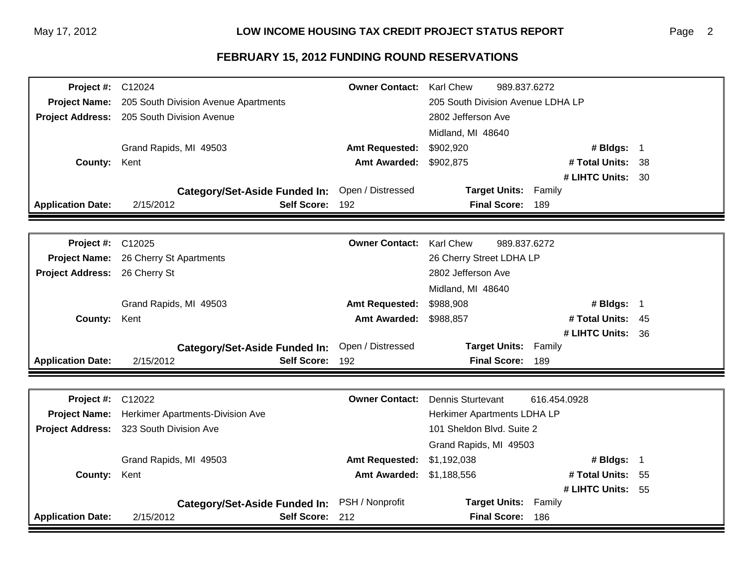| <b>Project #: C12024</b>      |                                                                                         | <b>Owner Contact:</b> | <b>Karl Chew</b><br>989.837.6272         |     |  |
|-------------------------------|-----------------------------------------------------------------------------------------|-----------------------|------------------------------------------|-----|--|
|                               | Project Name: 205 South Division Avenue Apartments<br>205 South Division Avenue LDHA LP |                       |                                          |     |  |
|                               | Project Address: 205 South Division Avenue                                              |                       | 2802 Jefferson Ave                       |     |  |
|                               |                                                                                         |                       | Midland, MI 48640                        |     |  |
|                               | Grand Rapids, MI 49503                                                                  | <b>Amt Requested:</b> | \$902,920<br># Bldgs: 1                  |     |  |
| <b>County:</b>                | Kent                                                                                    | <b>Amt Awarded:</b>   | \$902,875<br># Total Units: 38           |     |  |
|                               |                                                                                         |                       | # LIHTC Units: 30                        |     |  |
|                               | <b>Category/Set-Aside Funded In:</b>                                                    | Open / Distressed     | <b>Target Units:</b><br>Family           |     |  |
| <b>Application Date:</b>      | 2/15/2012<br>Self Score: 192                                                            |                       | Final Score: 189                         |     |  |
|                               |                                                                                         |                       |                                          |     |  |
| <b>Project #: C12025</b>      |                                                                                         | <b>Owner Contact:</b> | <b>Karl Chew</b><br>989.837.6272         |     |  |
|                               | Project Name: 26 Cherry St Apartments                                                   |                       | 26 Cherry Street LDHA LP                 |     |  |
| Project Address: 26 Cherry St |                                                                                         |                       | 2802 Jefferson Ave                       |     |  |
|                               |                                                                                         |                       | Midland, MI 48640                        |     |  |
|                               | Grand Rapids, MI 49503                                                                  | <b>Amt Requested:</b> | \$988,908<br># Bldgs: 1                  |     |  |
| County:                       | Kent                                                                                    | <b>Amt Awarded:</b>   | # Total Units: 45<br>\$988,857           |     |  |
|                               |                                                                                         |                       | # LIHTC Units: 36                        |     |  |
|                               | <b>Category/Set-Aside Funded In:</b>                                                    | Open / Distressed     | <b>Target Units:</b><br>Family           |     |  |
| <b>Application Date:</b>      | 2/15/2012<br>Self Score: 192                                                            |                       | <b>Final Score:</b><br>189               |     |  |
|                               |                                                                                         |                       |                                          |     |  |
| <b>Project #: C12022</b>      |                                                                                         | <b>Owner Contact:</b> | <b>Dennis Sturtevant</b><br>616.454.0928 |     |  |
| <b>Project Name:</b>          | <b>Herkimer Apartments-Division Ave</b>                                                 |                       | Herkimer Apartments LDHA LP              |     |  |
|                               | Project Address: 323 South Division Ave                                                 |                       | 101 Sheldon Blvd. Suite 2                |     |  |
|                               |                                                                                         |                       | Grand Rapids, MI 49503                   |     |  |
|                               | Grand Rapids, MI 49503                                                                  | <b>Amt Requested:</b> | \$1,192,038<br># Bldgs: 1                |     |  |
| County:                       | Kent                                                                                    | <b>Amt Awarded:</b>   | # Total Units:<br>\$1,188,556            | -55 |  |
|                               |                                                                                         |                       | # LIHTC Units: 55                        |     |  |
|                               | <b>Category/Set-Aside Funded In:</b>                                                    | PSH / Nonprofit       | <b>Target Units:</b><br>Family           |     |  |
| <b>Application Date:</b>      | 2/15/2012<br>Self Score: 212                                                            |                       | <b>Final Score:</b><br>186               |     |  |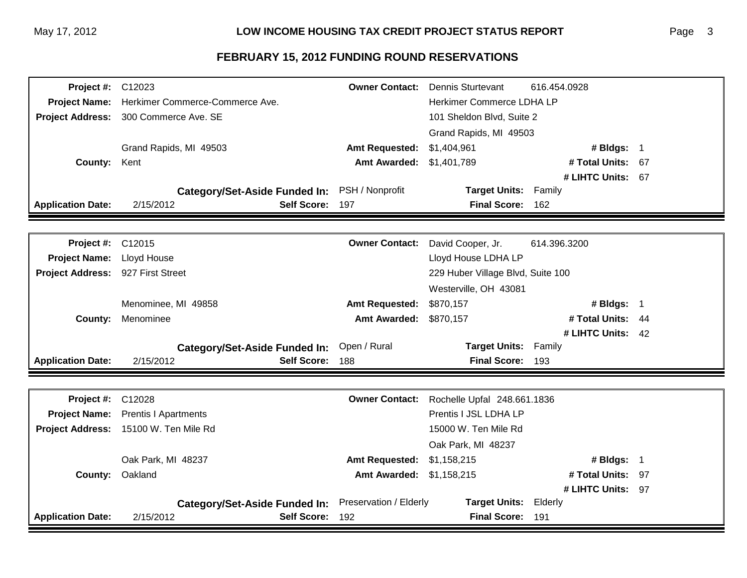| <b>Project #: C12023</b>          |                                                                    | <b>Owner Contact:</b>  | Dennis Sturtevant                 | 616.454.0928      |  |
|-----------------------------------|--------------------------------------------------------------------|------------------------|-----------------------------------|-------------------|--|
|                                   | Project Name: Herkimer Commerce-Commerce Ave.                      |                        | Herkimer Commerce LDHA LP         |                   |  |
|                                   | Project Address: 300 Commerce Ave. SE<br>101 Sheldon Blvd, Suite 2 |                        |                                   |                   |  |
|                                   |                                                                    |                        | Grand Rapids, MI 49503            |                   |  |
|                                   | Grand Rapids, MI 49503                                             | <b>Amt Requested:</b>  | \$1,404,961                       | # Bldgs: 1        |  |
| County: Kent                      |                                                                    | <b>Amt Awarded:</b>    | \$1,401,789                       | # Total Units: 67 |  |
|                                   |                                                                    |                        |                                   | # LIHTC Units: 67 |  |
|                                   | <b>Category/Set-Aside Funded In:</b>                               | PSH / Nonprofit        | <b>Target Units:</b>              | Family            |  |
| <b>Application Date:</b>          | 2/15/2012<br><b>Self Score:</b>                                    | 197                    | Final Score: 162                  |                   |  |
|                                   |                                                                    |                        |                                   |                   |  |
| Project #: C12015                 |                                                                    | <b>Owner Contact:</b>  | David Cooper, Jr.                 | 614.396.3200      |  |
| <b>Project Name:</b>              | Lloyd House                                                        |                        | Lloyd House LDHA LP               |                   |  |
| Project Address: 927 First Street |                                                                    |                        | 229 Huber Village Blvd, Suite 100 |                   |  |
|                                   |                                                                    |                        | Westerville, OH 43081             |                   |  |
|                                   | Menominee, MI 49858                                                | <b>Amt Requested:</b>  | \$870,157                         | # Bldgs: 1        |  |
| <b>County:</b>                    | Menominee                                                          | <b>Amt Awarded:</b>    | \$870,157                         | # Total Units: 44 |  |
|                                   |                                                                    |                        |                                   | # LIHTC Units: 42 |  |
|                                   | <b>Category/Set-Aside Funded In:</b>                               | Open / Rural           | <b>Target Units:</b>              | Family            |  |
| <b>Application Date:</b>          | 2/15/2012<br><b>Self Score:</b>                                    | 188                    | <b>Final Score:</b>               | 193               |  |
|                                   |                                                                    |                        |                                   |                   |  |
| <b>Project #: C12028</b>          |                                                                    | <b>Owner Contact:</b>  | Rochelle Upfal 248.661.1836       |                   |  |
| <b>Project Name:</b>              | <b>Prentis I Apartments</b>                                        |                        | Prentis I JSL LDHA LP             |                   |  |
|                                   | Project Address: 15100 W. Ten Mile Rd                              |                        | 15000 W. Ten Mile Rd              |                   |  |
|                                   |                                                                    |                        | Oak Park, MI 48237                |                   |  |
|                                   | Oak Park, MI 48237                                                 | <b>Amt Requested:</b>  | \$1,158,215                       | # Bldgs: 1        |  |
| <b>County:</b>                    | Oakland                                                            | <b>Amt Awarded:</b>    | \$1,158,215                       | # Total Units: 97 |  |
|                                   |                                                                    |                        |                                   | # LIHTC Units: 97 |  |
|                                   | <b>Category/Set-Aside Funded In:</b>                               | Preservation / Elderly | <b>Target Units:</b>              | Elderly           |  |
| <b>Application Date:</b>          | 2/15/2012<br><b>Self Score:</b>                                    | 192                    | <b>Final Score:</b>               | 191               |  |